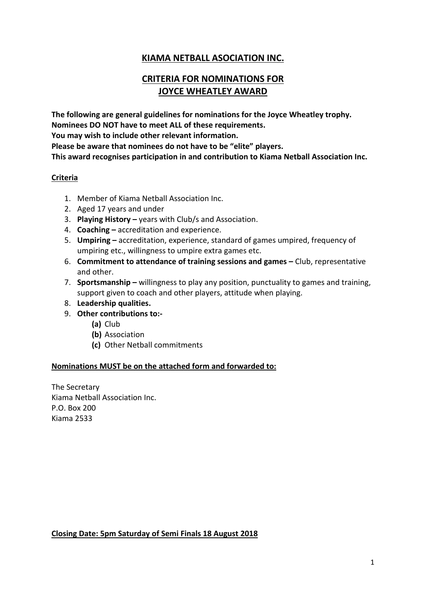### **KIAMA NETBALL ASOCIATION INC.**

## **CRITERIA FOR NOMINATIONS FOR JOYCE WHEATLEY AWARD**

**The following are general guidelines for nominations for the Joyce Wheatley trophy. Nominees DO NOT have to meet ALL of these requirements. You may wish to include other relevant information. Please be aware that nominees do not have to be "elite" players. This award recognises participation in and contribution to Kiama Netball Association Inc.**

### **Criteria**

- 1. Member of Kiama Netball Association Inc.
- 2. Aged 17 years and under
- 3. **Playing History –** years with Club/s and Association.
- 4. **Coaching –** accreditation and experience.
- 5. **Umpiring –** accreditation, experience, standard of games umpired, frequency of umpiring etc., willingness to umpire extra games etc.
- 6. **Commitment to attendance of training sessions and games –** Club, representative and other.
- 7. **Sportsmanship –** willingness to play any position, punctuality to games and training, support given to coach and other players, attitude when playing.
- 8. **Leadership qualities.**
- 9. **Other contributions to:-**
	- **(a)** Club
	- **(b)** Association
	- **(c)** Other Netball commitments

#### **Nominations MUST be on the attached form and forwarded to:**

The Secretary Kiama Netball Association Inc. P.O. Box 200 Kiama 2533

**Closing Date: 5pm Saturday of Semi Finals 18 August 2018**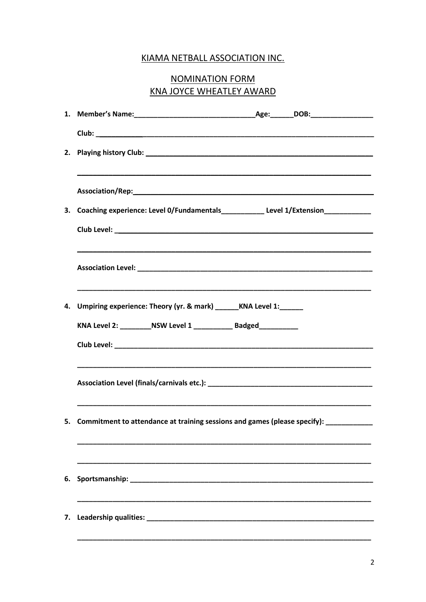### KIAMA NETBALL ASSOCIATION INC.

# **NOMINATION FORM KNA JOYCE WHEATLEY AWARD**

| 2. |                                                                                         |  |  |  |  |
|----|-----------------------------------------------------------------------------------------|--|--|--|--|
|    |                                                                                         |  |  |  |  |
|    | 3. Coaching experience: Level 0/Fundamentals___________ Level 1/Extension________       |  |  |  |  |
|    |                                                                                         |  |  |  |  |
|    |                                                                                         |  |  |  |  |
| 4. | Umpiring experience: Theory (yr. & mark) ______KNA Level 1: _____                       |  |  |  |  |
|    | KNA Level 2: __________NSW Level 1 _____________ Badged____________                     |  |  |  |  |
|    |                                                                                         |  |  |  |  |
|    |                                                                                         |  |  |  |  |
|    | 5. Commitment to attendance at training sessions and games (please specify): __________ |  |  |  |  |
| 6. |                                                                                         |  |  |  |  |
| 7. |                                                                                         |  |  |  |  |